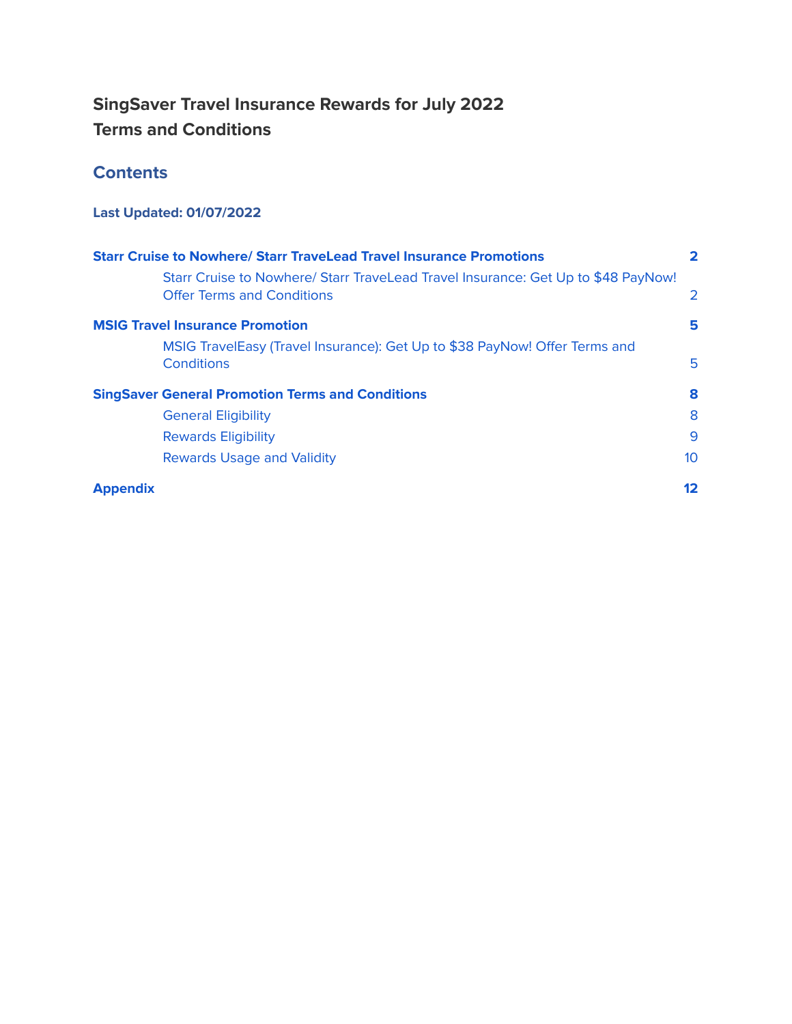# **SingSaver Travel Insurance Rewards for July 2022 Terms and Conditions**

# **Contents**

# **Last Updated: 01/07/2022**

| <b>Starr Cruise to Nowhere/ Starr TraveLead Travel Insurance Promotions</b>                                            |                 |  |
|------------------------------------------------------------------------------------------------------------------------|-----------------|--|
| Starr Cruise to Nowhere/ Starr TraveLead Travel Insurance: Get Up to \$48 PayNow!<br><b>Offer Terms and Conditions</b> | 2               |  |
| <b>MSIG Travel Insurance Promotion</b>                                                                                 | 5               |  |
| MSIG TravelEasy (Travel Insurance): Get Up to \$38 PayNow! Offer Terms and<br>Conditions                               | 5               |  |
| <b>SingSaver General Promotion Terms and Conditions</b>                                                                | 8               |  |
| <b>General Eligibility</b>                                                                                             | 8               |  |
| <b>Rewards Eligibility</b>                                                                                             | 9               |  |
| <b>Rewards Usage and Validity</b>                                                                                      | 10 <sup>°</sup> |  |
| <b>Appendix</b>                                                                                                        | 12              |  |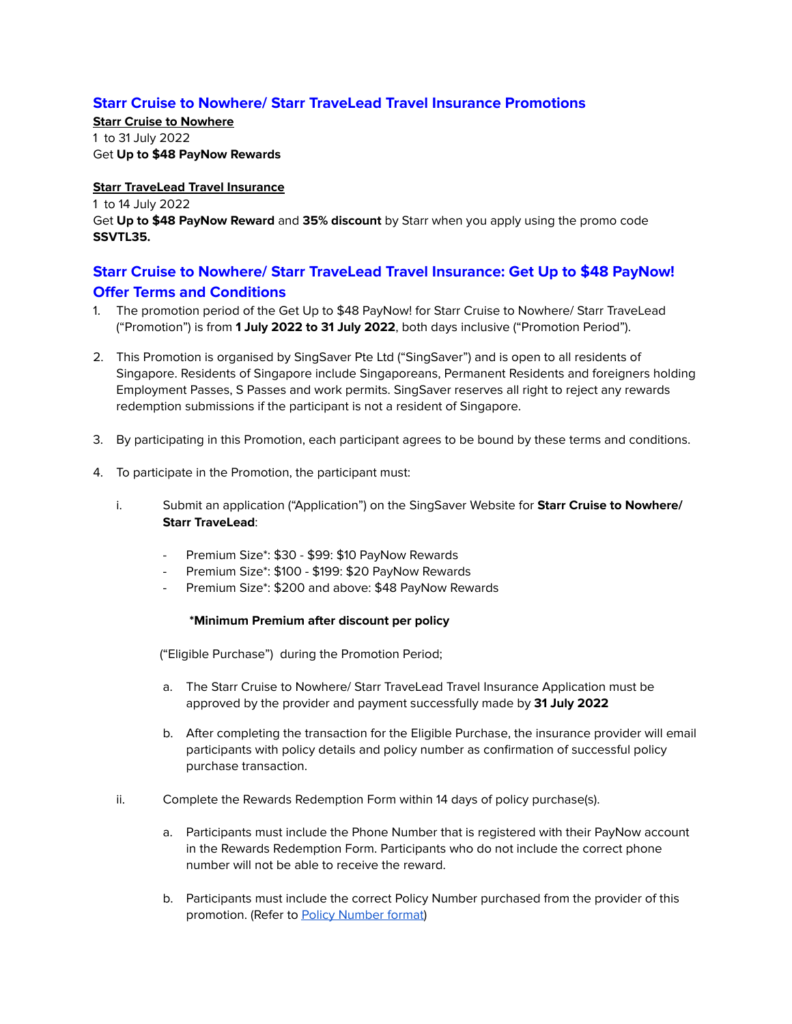## <span id="page-1-0"></span>**Starr Cruise to Nowhere/ Starr TraveLead Travel Insurance Promotions**

**Starr Cruise to Nowhere** 1 to 31 July 2022 Get **Up to \$48 PayNow Rewards**

#### **Starr TraveLead Travel Insurance**

1 to 14 July 2022 Get **Up to \$48 PayNow Reward** and **35% discount** by Starr when you apply using the promo code **SSVTL35.**

# <span id="page-1-1"></span>**Starr Cruise to Nowhere/ Starr TraveLead Travel Insurance: Get Up to \$48 PayNow! Offer Terms and Conditions**

- 1. The promotion period of the Get Up to \$48 PayNow! for Starr Cruise to Nowhere/ Starr TraveLead ("Promotion") is from **1 July 2022 to 31 July 2022**, both days inclusive ("Promotion Period").
- 2. This Promotion is organised by SingSaver Pte Ltd ("SingSaver") and is open to all residents of Singapore. Residents of Singapore include Singaporeans, Permanent Residents and foreigners holding Employment Passes, S Passes and work permits. SingSaver reserves all right to reject any rewards redemption submissions if the participant is not a resident of Singapore.
- 3. By participating in this Promotion, each participant agrees to be bound by these terms and conditions.
- 4. To participate in the Promotion, the participant must:
	- i. Submit an application ("Application") on the SingSaver Website for **Starr Cruise to Nowhere/ Starr TraveLead**:
		- Premium Size\*: \$30 \$99: \$10 PayNow Rewards
		- Premium Size\*: \$100 \$199: \$20 PayNow Rewards
		- Premium Size\*: \$200 and above: \$48 PayNow Rewards

#### **\*Minimum Premium after discount per policy**

("Eligible Purchase") during the Promotion Period;

- a. The Starr Cruise to Nowhere/ Starr TraveLead Travel Insurance Application must be approved by the provider and payment successfully made by **31 July 2022**
- b. After completing the transaction for the Eligible Purchase, the insurance provider will email participants with policy details and policy number as confirmation of successful policy purchase transaction.
- ii. Complete the Rewards Redemption Form within 14 days of policy purchase(s).
	- a. Participants must include the Phone Number that is registered with their PayNow account in the Rewards Redemption Form. Participants who do not include the correct phone number will not be able to receive the reward.
	- b. Participants must include the correct Policy Number purchased from the provider of this promotion. (Refer to Policy [Number](#page-11-1) format)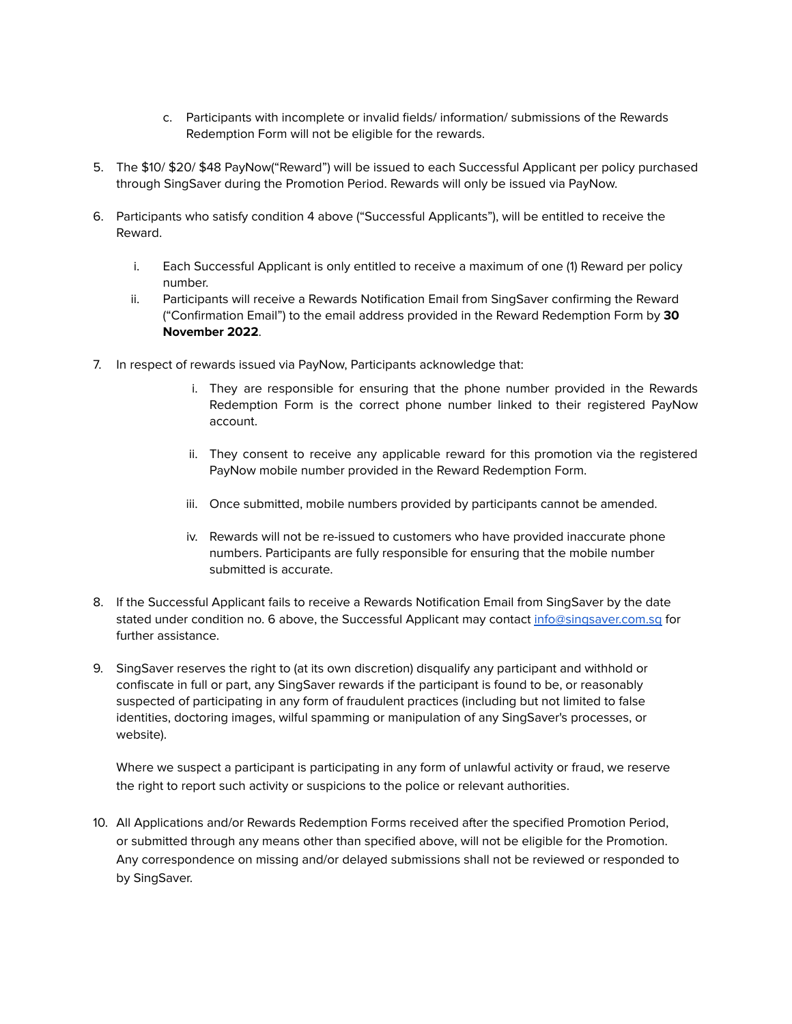- c. Participants with incomplete or invalid fields/ information/ submissions of the Rewards Redemption Form will not be eligible for the rewards.
- 5. The \$10/ \$20/ \$48 PayNow("Reward") will be issued to each Successful Applicant per policy purchased through SingSaver during the Promotion Period. Rewards will only be issued via PayNow.
- 6. Participants who satisfy condition 4 above ("Successful Applicants"), will be entitled to receive the Reward.
	- i. Each Successful Applicant is only entitled to receive a maximum of one (1) Reward per policy number.
	- ii. Participants will receive a Rewards Notification Email from SingSaver confirming the Reward ("Confirmation Email") to the email address provided in the Reward Redemption Form by **30 November 2022**.
- 7. In respect of rewards issued via PayNow, Participants acknowledge that:
	- i. They are responsible for ensuring that the phone number provided in the Rewards Redemption Form is the correct phone number linked to their registered PayNow account.
	- ii. They consent to receive any applicable reward for this promotion via the registered PayNow mobile number provided in the Reward Redemption Form.
	- iii. Once submitted, mobile numbers provided by participants cannot be amended.
	- iv. Rewards will not be re-issued to customers who have provided inaccurate phone numbers. Participants are fully responsible for ensuring that the mobile number submitted is accurate.
- 8. If the Successful Applicant fails to receive a Rewards Notification Email from SingSaver by the date stated under condition no. 6 above, the Successful Applicant may contact info@singsaver.com.sq for further assistance.
- 9. SingSaver reserves the right to (at its own discretion) disqualify any participant and withhold or confiscate in full or part, any SingSaver rewards if the participant is found to be, or reasonably suspected of participating in any form of fraudulent practices (including but not limited to false identities, doctoring images, wilful spamming or manipulation of any SingSaver's processes, or website).

Where we suspect a participant is participating in any form of unlawful activity or fraud, we reserve the right to report such activity or suspicions to the police or relevant authorities.

10. All Applications and/or Rewards Redemption Forms received after the specified Promotion Period, or submitted through any means other than specified above, will not be eligible for the Promotion. Any correspondence on missing and/or delayed submissions shall not be reviewed or responded to by SingSaver.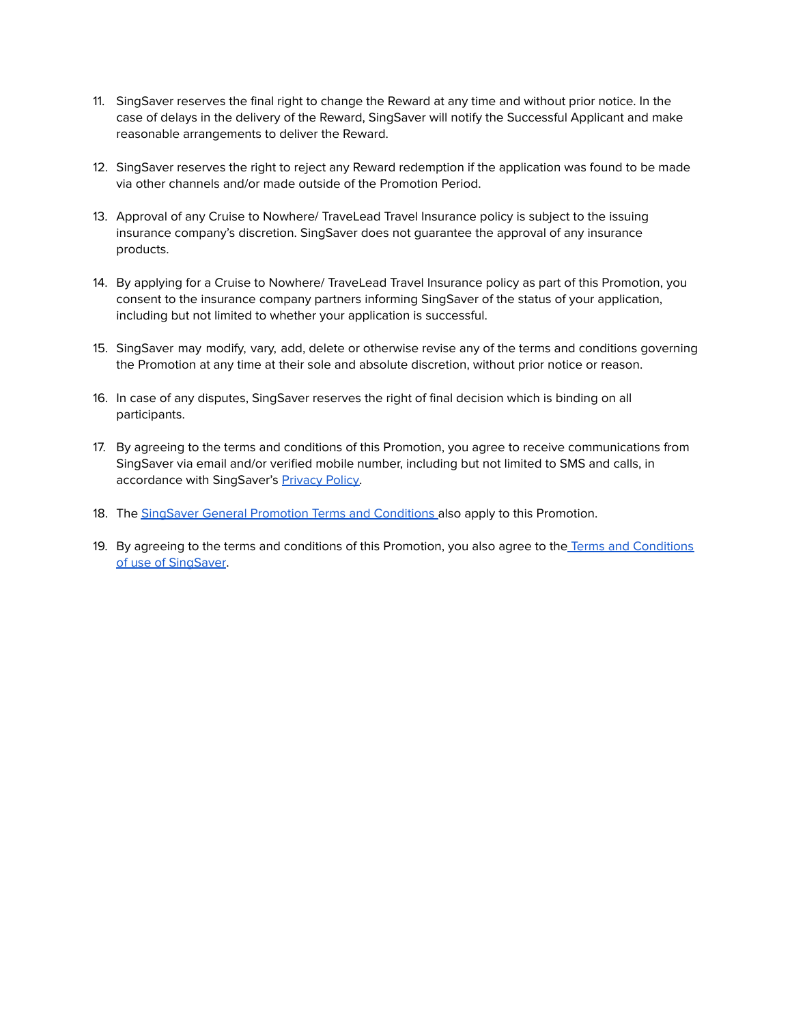- 11. SingSaver reserves the final right to change the Reward at any time and without prior notice. In the case of delays in the delivery of the Reward, SingSaver will notify the Successful Applicant and make reasonable arrangements to deliver the Reward.
- 12. SingSaver reserves the right to reject any Reward redemption if the application was found to be made via other channels and/or made outside of the Promotion Period.
- 13. Approval of any Cruise to Nowhere/ TraveLead Travel Insurance policy is subject to the issuing insurance company's discretion. SingSaver does not guarantee the approval of any insurance products.
- 14. By applying for a Cruise to Nowhere/ TraveLead Travel Insurance policy as part of this Promotion, you consent to the insurance company partners informing SingSaver of the status of your application, including but not limited to whether your application is successful.
- 15. SingSaver may modify, vary, add, delete or otherwise revise any of the terms and conditions governing the Promotion at any time at their sole and absolute discretion, without prior notice or reason.
- 16. In case of any disputes, SingSaver reserves the right of final decision which is binding on all participants.
- 17. By agreeing to the terms and conditions of this Promotion, you agree to receive communications from SingSaver via email and/or verified mobile number, including but not limited to SMS and calls, in accordance with SingSaver's [Privacy](https://www.singsaver.com.sg/privacy-policy) Policy.
- 18. The SingSaver General Promotion Terms and [Conditions](#page-7-0) also apply to this Promotion.
- 19. By agreeing to the terms and conditions of this Promotion, you also agree to the Terms and [Conditions](https://www.singsaver.com.sg/terms) of use of [SingSaver.](https://www.singsaver.com.sg/terms)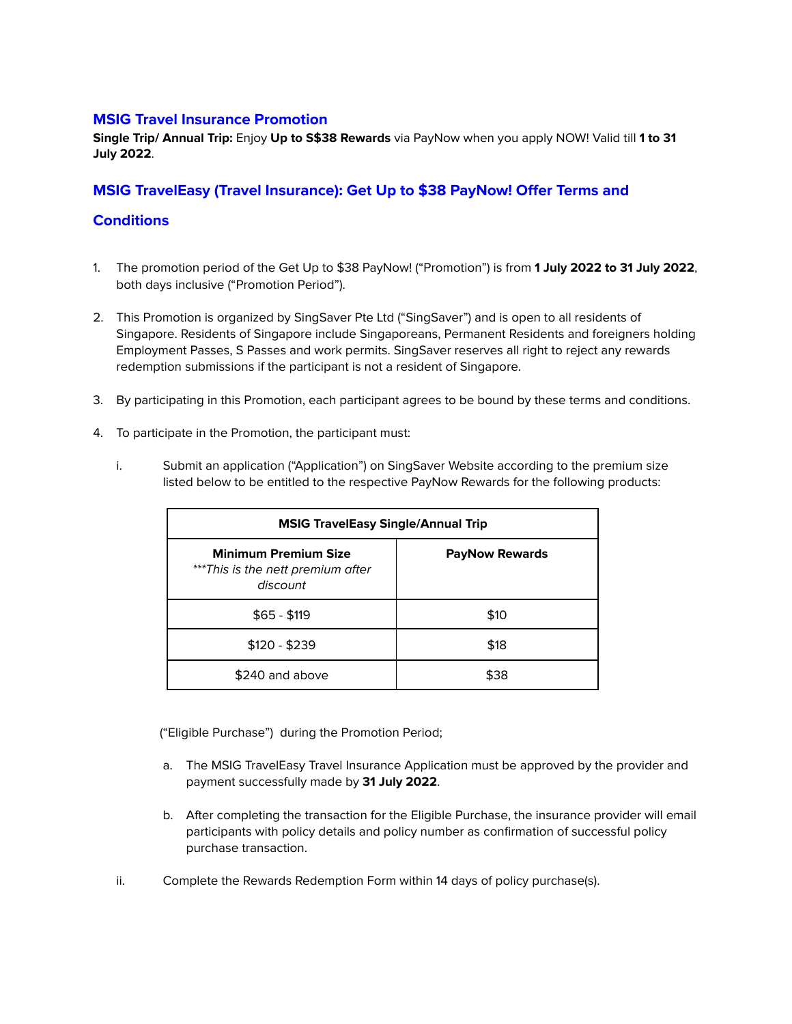## <span id="page-4-0"></span>**MSIG Travel Insurance Promotion**

**Single Trip/ Annual Trip:** Enjoy **Up to S\$38 Rewards** via PayNow when you apply NOW! Valid till **1 to 31 July 2022**.

## **MSIG TravelEasy (Travel Insurance): Get Up to \$38 PayNow! Offer Terms and**

### <span id="page-4-1"></span>**Conditions**

- 1. The promotion period of the Get Up to \$38 PayNow! ("Promotion") is from **1 July 2022 to 31 July 2022**, both days inclusive ("Promotion Period").
- 2. This Promotion is organized by SingSaver Pte Ltd ("SingSaver") and is open to all residents of Singapore. Residents of Singapore include Singaporeans, Permanent Residents and foreigners holding Employment Passes, S Passes and work permits. SingSaver reserves all right to reject any rewards redemption submissions if the participant is not a resident of Singapore.
- 3. By participating in this Promotion, each participant agrees to be bound by these terms and conditions.
- 4. To participate in the Promotion, the participant must:
	- i. Submit an application ("Application") on SingSaver Website according to the premium size listed below to be entitled to the respective PayNow Rewards for the following products:

| <b>MSIG TravelEasy Single/Annual Trip</b>                                    |                       |  |
|------------------------------------------------------------------------------|-----------------------|--|
| <b>Minimum Premium Size</b><br>***This is the nett premium after<br>discount | <b>PayNow Rewards</b> |  |
| $$65 - $119$                                                                 | \$10                  |  |
| $$120 - $239$                                                                | \$18                  |  |
| \$240 and above                                                              | \$38                  |  |

("Eligible Purchase") during the Promotion Period;

- a. The MSIG TravelEasy Travel Insurance Application must be approved by the provider and payment successfully made by **31 July 2022**.
- b. After completing the transaction for the Eligible Purchase, the insurance provider will email participants with policy details and policy number as confirmation of successful policy purchase transaction.
- ii. Complete the Rewards Redemption Form within 14 days of policy purchase(s).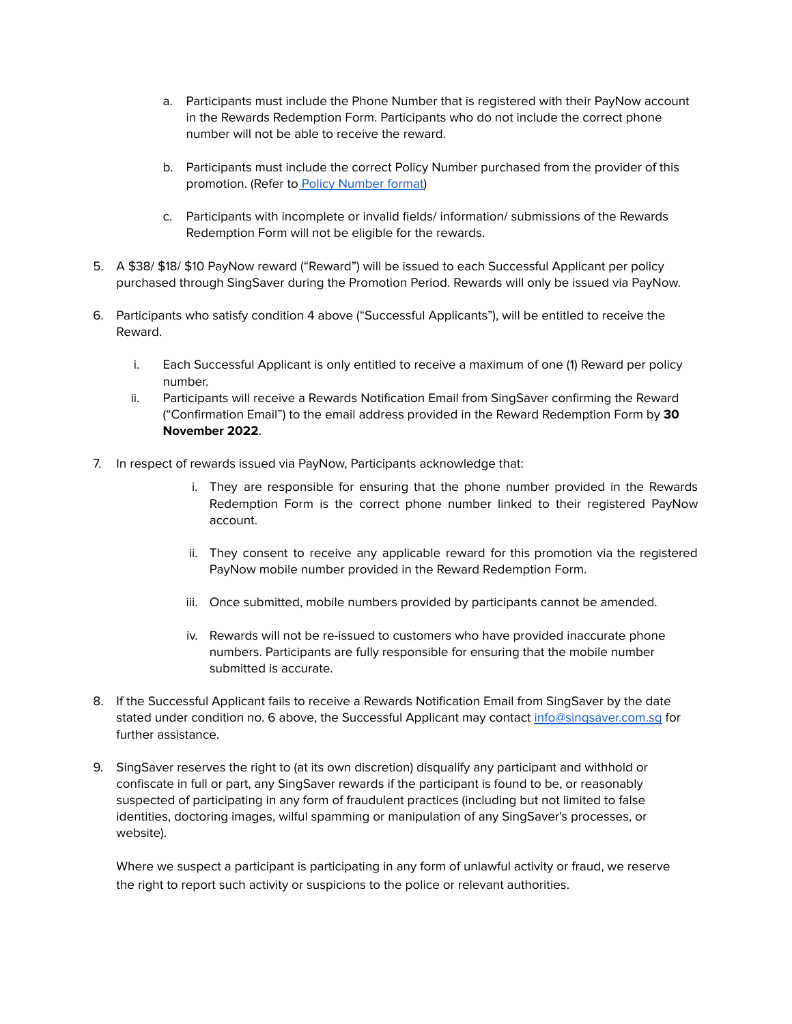- a. Participants must include the Phone Number that is registered with their PayNow account in the Rewards Redemption Form. Participants who do not include the correct phone number will not be able to receive the reward.
- b. Participants must include the correct Policy Number purchased from the provider of this promotion. (Refer to Policy [Number](#page-11-1) format)
- c. Participants with incomplete or invalid fields/ information/ submissions of the Rewards Redemption Form will not be eligible for the rewards.
- 5. A \$38/ \$18/ \$10 PayNow reward ("Reward") will be issued to each Successful Applicant per policy purchased through SingSaver during the Promotion Period. Rewards will only be issued via PayNow.
- 6. Participants who satisfy condition 4 above ("Successful Applicants"), will be entitled to receive the Reward.
	- i. Each Successful Applicant is only entitled to receive a maximum of one (1) Reward per policy number.
	- ii. Participants will receive a Rewards Notification Email from SingSaver confirming the Reward ("Confirmation Email") to the email address provided in the Reward Redemption Form by **30 November 2022**.
- 7. In respect of rewards issued via PayNow, Participants acknowledge that:
	- i. They are responsible for ensuring that the phone number provided in the Rewards Redemption Form is the correct phone number linked to their registered PayNow account.
	- ii. They consent to receive any applicable reward for this promotion via the registered PayNow mobile number provided in the Reward Redemption Form.
	- iii. Once submitted, mobile numbers provided by participants cannot be amended.
	- iv. Rewards will not be re-issued to customers who have provided inaccurate phone numbers. Participants are fully responsible for ensuring that the mobile number submitted is accurate.
- 8. If the Successful Applicant fails to receive a Rewards Notification Email from SingSaver by the date stated under condition no. 6 above, the Successful Applicant may contact [info@singsaver.com.sg](mailto:info@singsaver.com.sg) for further assistance.
- 9. SingSaver reserves the right to (at its own discretion) disqualify any participant and withhold or confiscate in full or part, any SingSaver rewards if the participant is found to be, or reasonably suspected of participating in any form of fraudulent practices (including but not limited to false identities, doctoring images, wilful spamming or manipulation of any SingSaver's processes, or website).

Where we suspect a participant is participating in any form of unlawful activity or fraud, we reserve the right to report such activity or suspicions to the police or relevant authorities.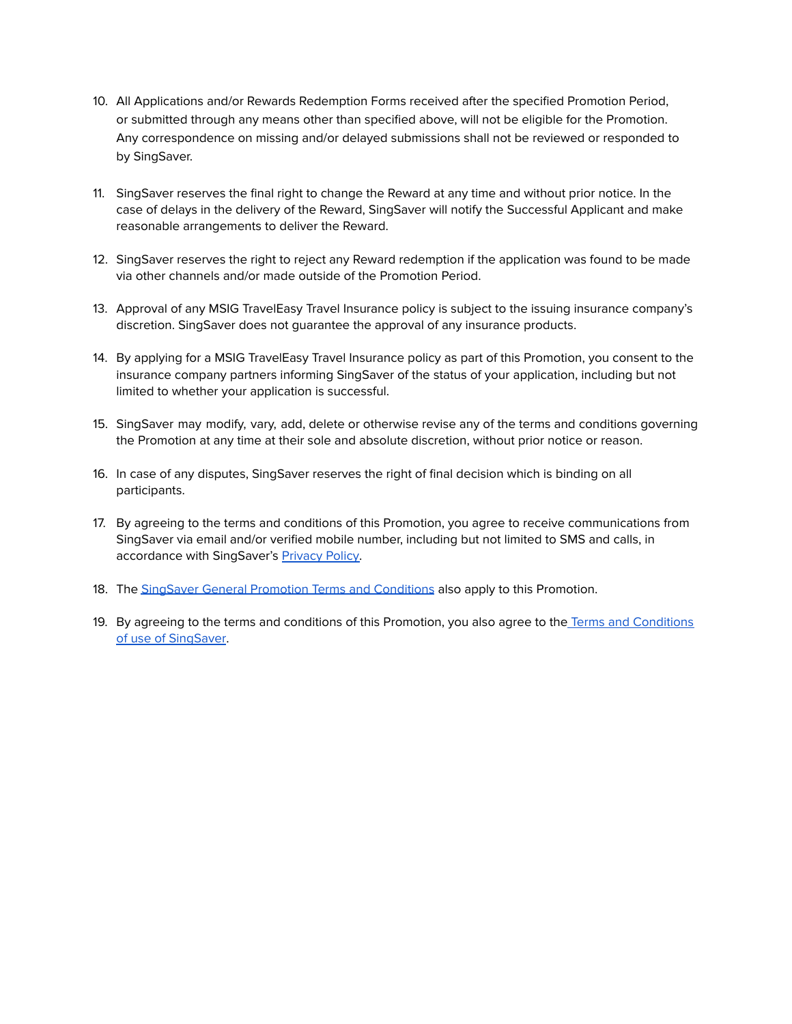- 10. All Applications and/or Rewards Redemption Forms received after the specified Promotion Period, or submitted through any means other than specified above, will not be eligible for the Promotion. Any correspondence on missing and/or delayed submissions shall not be reviewed or responded to by SingSaver.
- 11. SingSaver reserves the final right to change the Reward at any time and without prior notice. In the case of delays in the delivery of the Reward, SingSaver will notify the Successful Applicant and make reasonable arrangements to deliver the Reward.
- 12. SingSaver reserves the right to reject any Reward redemption if the application was found to be made via other channels and/or made outside of the Promotion Period.
- 13. Approval of any MSIG TravelEasy Travel Insurance policy is subject to the issuing insurance company's discretion. SingSaver does not guarantee the approval of any insurance products.
- 14. By applying for a MSIG TravelEasy Travel Insurance policy as part of this Promotion, you consent to the insurance company partners informing SingSaver of the status of your application, including but not limited to whether your application is successful.
- 15. SingSaver may modify, vary, add, delete or otherwise revise any of the terms and conditions governing the Promotion at any time at their sole and absolute discretion, without prior notice or reason.
- 16. In case of any disputes, SingSaver reserves the right of final decision which is binding on all participants.
- 17. By agreeing to the terms and conditions of this Promotion, you agree to receive communications from SingSaver via email and/or verified mobile number, including but not limited to SMS and calls, in accordance with SingSaver's [Privacy](https://www.singsaver.com.sg/privacy-policy) Policy.
- 18. The SingSaver General Promotion Terms and [Conditions](#page-7-0) also apply to this Promotion.
- 19. By agreeing to the terms and conditions of this Promotion, you also agree to the Terms and [Conditions](https://www.singsaver.com.sg/terms) of use of [SingSaver.](https://www.singsaver.com.sg/terms)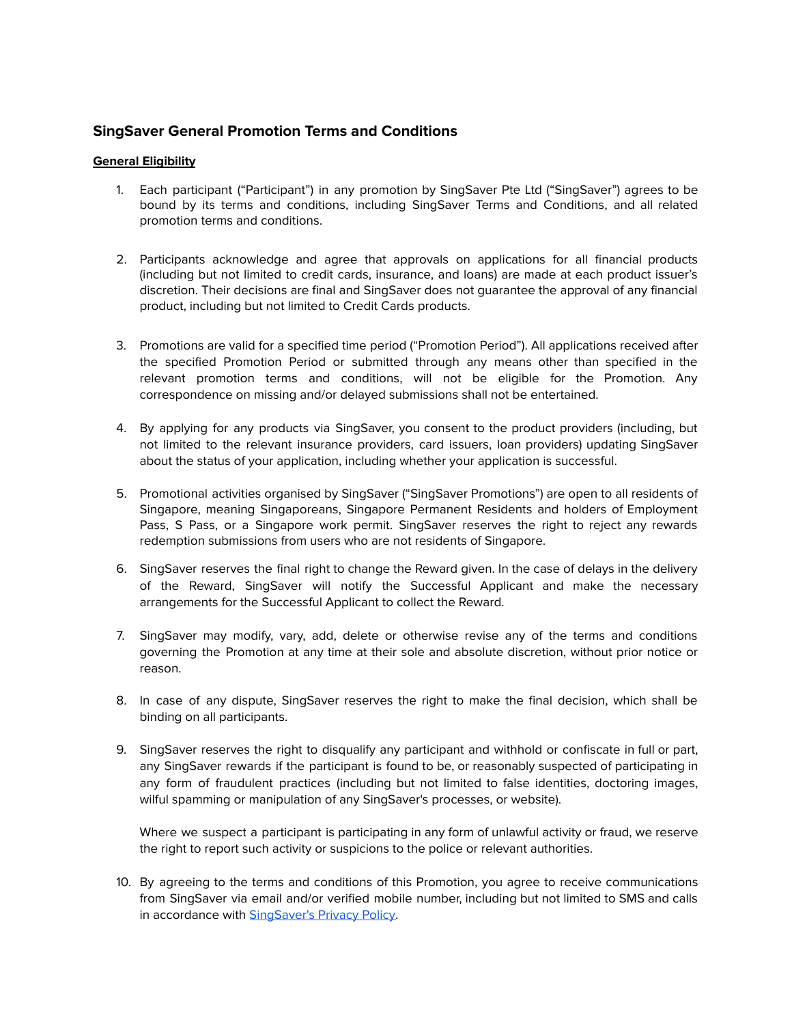## <span id="page-7-0"></span>**SingSaver General Promotion Terms and Conditions**

#### <span id="page-7-1"></span>**General Eligibility**

- 1. Each participant ("Participant") in any promotion by SingSaver Pte Ltd ("SingSaver") agrees to be bound by its terms and conditions, including SingSaver Terms and Conditions, and all related promotion terms and conditions.
- 2. Participants acknowledge and agree that approvals on applications for all financial products (including but not limited to credit cards, insurance, and loans) are made at each product issuer's discretion. Their decisions are final and SingSaver does not guarantee the approval of any financial product, including but not limited to Credit Cards products.
- 3. Promotions are valid for a specified time period ("Promotion Period"). All applications received after the specified Promotion Period or submitted through any means other than specified in the relevant promotion terms and conditions, will not be eligible for the Promotion. Any correspondence on missing and/or delayed submissions shall not be entertained.
- 4. By applying for any products via SingSaver, you consent to the product providers (including, but not limited to the relevant insurance providers, card issuers, loan providers) updating SingSaver about the status of your application, including whether your application is successful.
- 5. Promotional activities organised by SingSaver ("SingSaver Promotions") are open to all residents of Singapore, meaning Singaporeans, Singapore Permanent Residents and holders of Employment Pass, S Pass, or a Singapore work permit. SingSaver reserves the right to reject any rewards redemption submissions from users who are not residents of Singapore.
- 6. SingSaver reserves the final right to change the Reward given. In the case of delays in the delivery of the Reward, SingSaver will notify the Successful Applicant and make the necessary arrangements for the Successful Applicant to collect the Reward.
- 7. SingSaver may modify, vary, add, delete or otherwise revise any of the terms and conditions governing the Promotion at any time at their sole and absolute discretion, without prior notice or reason.
- 8. In case of any dispute, SingSaver reserves the right to make the final decision, which shall be binding on all participants.
- 9. SingSaver reserves the right to disqualify any participant and withhold or confiscate in full or part, any SingSaver rewards if the participant is found to be, or reasonably suspected of participating in any form of fraudulent practices (including but not limited to false identities, doctoring images, wilful spamming or manipulation of any SingSaver's processes, or website).

Where we suspect a participant is participating in any form of unlawful activity or fraud, we reserve the right to report such activity or suspicions to the police or relevant authorities.

10. By agreeing to the terms and conditions of this Promotion, you agree to receive communications from SingSaver via email and/or verified mobile number, including but not limited to SMS and calls in accordance with [SingSaver's](https://www.singsaver.com.sg/privacy-policy) Privacy Policy.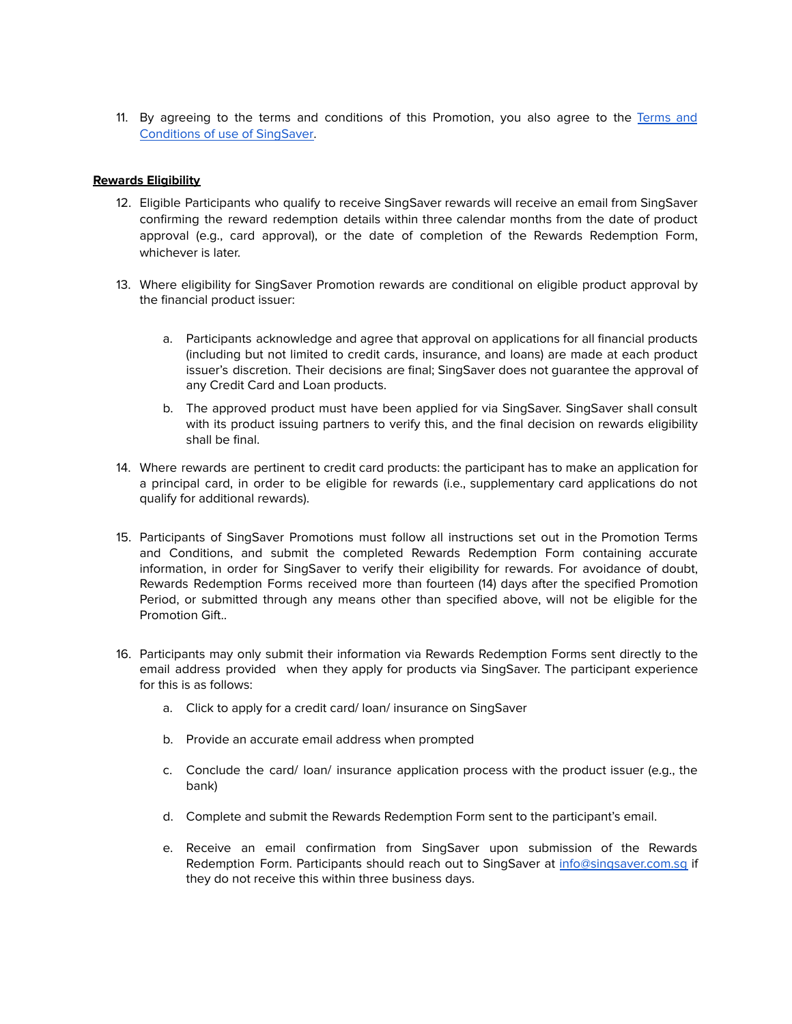11. By agreeing to the terms and conditions of this Promotion, you also agree to the [Terms](https://www.singsaver.com.sg/terms) and [Conditions](https://www.singsaver.com.sg/terms) of use of SingSaver.

#### <span id="page-8-0"></span>**Rewards Eligibility**

- 12. Eligible Participants who qualify to receive SingSaver rewards will receive an email from SingSaver confirming the reward redemption details within three calendar months from the date of product approval (e.g., card approval), or the date of completion of the Rewards Redemption Form, whichever is later.
- 13. Where eligibility for SingSaver Promotion rewards are conditional on eligible product approval by the financial product issuer:
	- a. Participants acknowledge and agree that approval on applications for all financial products (including but not limited to credit cards, insurance, and loans) are made at each product issuer's discretion. Their decisions are final; SingSaver does not guarantee the approval of any Credit Card and Loan products.
	- b. The approved product must have been applied for via SingSaver. SingSaver shall consult with its product issuing partners to verify this, and the final decision on rewards eligibility shall be final.
- 14. Where rewards are pertinent to credit card products: the participant has to make an application for a principal card, in order to be eligible for rewards (i.e., supplementary card applications do not qualify for additional rewards).
- 15. Participants of SingSaver Promotions must follow all instructions set out in the Promotion Terms and Conditions, and submit the completed Rewards Redemption Form containing accurate information, in order for SingSaver to verify their eligibility for rewards. For avoidance of doubt, Rewards Redemption Forms received more than fourteen (14) days after the specified Promotion Period, or submitted through any means other than specified above, will not be eligible for the Promotion Gift..
- 16. Participants may only submit their information via Rewards Redemption Forms sent directly to the email address provided when they apply for products via SingSaver. The participant experience for this is as follows:
	- a. Click to apply for a credit card/ loan/ insurance on SingSaver
	- b. Provide an accurate email address when prompted
	- c. Conclude the card/ loan/ insurance application process with the product issuer (e.g., the bank)
	- d. Complete and submit the Rewards Redemption Form sent to the participant's email.
	- e. Receive an email confirmation from SingSaver upon submission of the Rewards Redemption Form. Participants should reach out to SingSaver at [info@singsaver.com.sg](mailto:info@singsaver.com.sg) if they do not receive this within three business days.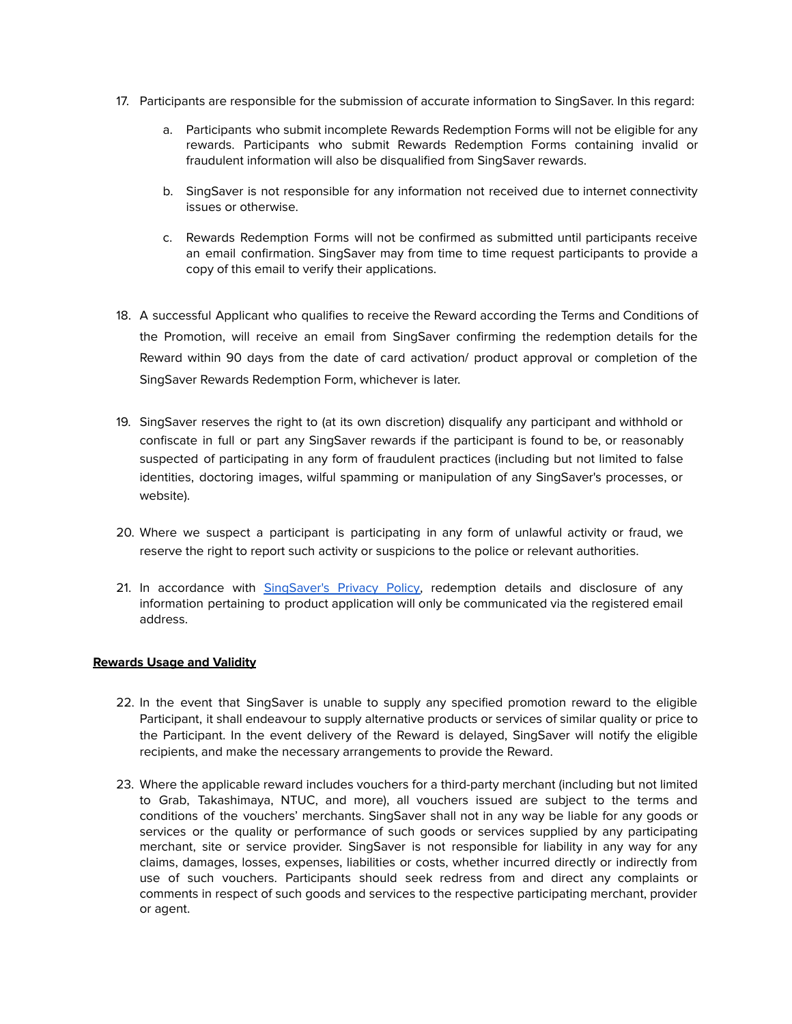- 17. Participants are responsible for the submission of accurate information to SingSaver. In this regard:
	- a. Participants who submit incomplete Rewards Redemption Forms will not be eligible for any rewards. Participants who submit Rewards Redemption Forms containing invalid or fraudulent information will also be disqualified from SingSaver rewards.
	- b. SingSaver is not responsible for any information not received due to internet connectivity issues or otherwise.
	- c. Rewards Redemption Forms will not be confirmed as submitted until participants receive an email confirmation. SingSaver may from time to time request participants to provide a copy of this email to verify their applications.
- 18. A successful Applicant who qualifies to receive the Reward according the Terms and Conditions of the Promotion, will receive an email from SingSaver confirming the redemption details for the Reward within 90 days from the date of card activation/ product approval or completion of the SingSaver Rewards Redemption Form, whichever is later.
- 19. SingSaver reserves the right to (at its own discretion) disqualify any participant and withhold or confiscate in full or part any SingSaver rewards if the participant is found to be, or reasonably suspected of participating in any form of fraudulent practices (including but not limited to false identities, doctoring images, wilful spamming or manipulation of any SingSaver's processes, or website).
- 20. Where we suspect a participant is participating in any form of unlawful activity or fraud, we reserve the right to report such activity or suspicions to the police or relevant authorities.
- 21. In accordance with [SingSaver's](https://www.singsaver.com.sg/privacy-policy) Privacy Policy, redemption details and disclosure of any information pertaining to product application will only be communicated via the registered email address.

#### <span id="page-9-0"></span>**Rewards Usage and Validity**

- 22. In the event that SingSaver is unable to supply any specified promotion reward to the eligible Participant, it shall endeavour to supply alternative products or services of similar quality or price to the Participant. In the event delivery of the Reward is delayed, SingSaver will notify the eligible recipients, and make the necessary arrangements to provide the Reward.
- 23. Where the applicable reward includes vouchers for a third-party merchant (including but not limited to Grab, Takashimaya, NTUC, and more), all vouchers issued are subject to the terms and conditions of the vouchers' merchants. SingSaver shall not in any way be liable for any goods or services or the quality or performance of such goods or services supplied by any participating merchant, site or service provider. SingSaver is not responsible for liability in any way for any claims, damages, losses, expenses, liabilities or costs, whether incurred directly or indirectly from use of such vouchers. Participants should seek redress from and direct any complaints or comments in respect of such goods and services to the respective participating merchant, provider or agent.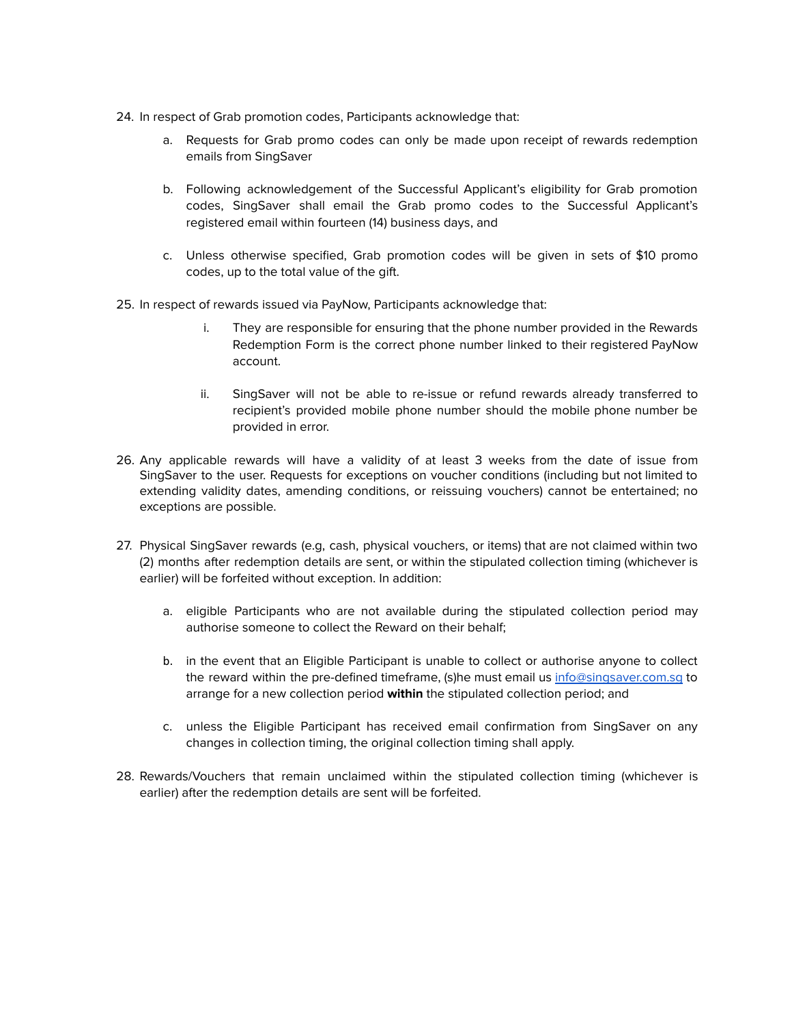- 24. In respect of Grab promotion codes, Participants acknowledge that:
	- a. Requests for Grab promo codes can only be made upon receipt of rewards redemption emails from SingSaver
	- b. Following acknowledgement of the Successful Applicant's eligibility for Grab promotion codes, SingSaver shall email the Grab promo codes to the Successful Applicant's registered email within fourteen (14) business days, and
	- c. Unless otherwise specified, Grab promotion codes will be given in sets of \$10 promo codes, up to the total value of the gift.
- 25. In respect of rewards issued via PayNow, Participants acknowledge that:
	- i. They are responsible for ensuring that the phone number provided in the Rewards Redemption Form is the correct phone number linked to their registered PayNow account.
	- ii. SingSaver will not be able to re-issue or refund rewards already transferred to recipient's provided mobile phone number should the mobile phone number be provided in error.
- 26. Any applicable rewards will have a validity of at least 3 weeks from the date of issue from SingSaver to the user. Requests for exceptions on voucher conditions (including but not limited to extending validity dates, amending conditions, or reissuing vouchers) cannot be entertained; no exceptions are possible.
- 27. Physical SingSaver rewards (e.g, cash, physical vouchers, or items) that are not claimed within two (2) months after redemption details are sent, or within the stipulated collection timing (whichever is earlier) will be forfeited without exception. In addition:
	- a. eligible Participants who are not available during the stipulated collection period may authorise someone to collect the Reward on their behalf;
	- b. in the event that an Eligible Participant is unable to collect or authorise anyone to collect the reward within the pre-defined timeframe, (s)he must email us [info@singsaver.com.sg](mailto:info@singsaver.com.sg) to arrange for a new collection period **within** the stipulated collection period; and
	- c. unless the Eligible Participant has received email confirmation from SingSaver on any changes in collection timing, the original collection timing shall apply.
- 28. Rewards/Vouchers that remain unclaimed within the stipulated collection timing (whichever is earlier) after the redemption details are sent will be forfeited.